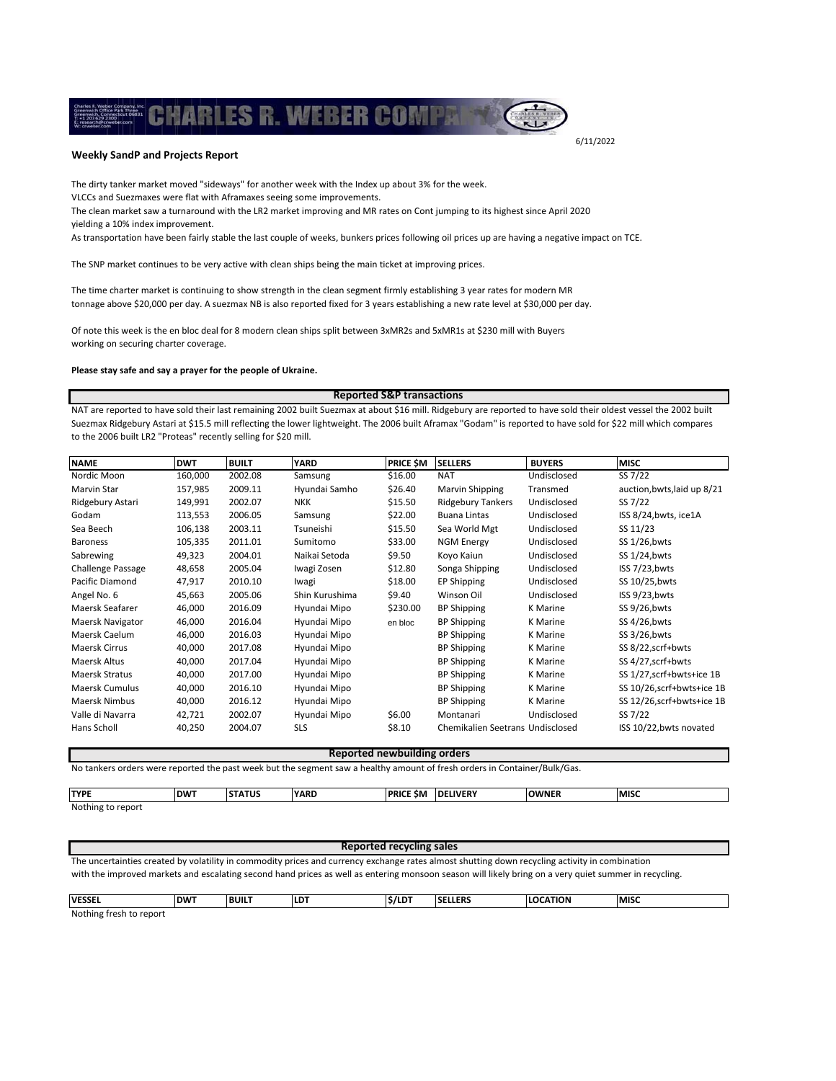## **Weekly SandP and Projects Report**

.

The dirty tanker market moved "sideways" for another week with the Index up about 3% for the week.

VLCCs and Suezmaxes were flat with Aframaxes seeing some improvements.

The clean market saw a turnaround with the LR2 market improving and MR rates on Cont jumping to its highest since April 2020 yielding a 10% index improvement.

ARLES R. WEBER COMP

As transportation have been fairly stable the last couple of weeks, bunkers prices following oil prices up are having a negative impact on TCE.

The SNP market continues to be very active with clean ships being the main ticket at improving prices.

The time charter market is continuing to show strength in the clean segment firmly establishing 3 year rates for modern MR tonnage above \$20,000 per day. A suezmax NB is also reported fixed for 3 years establishing a new rate level at \$30,000 per day.

Of note this week is the en bloc deal for 8 modern clean ships split between 3xMR2s and 5xMR1s at \$230 mill with Buyers working on securing charter coverage.

## **Please stay safe and say a prayer for the people of Ukraine.**

NAT are reported to have sold their last remaining 2002 built Suezmax at about \$16 mill. Ridgebury are reported to have sold their oldest vessel the 2002 built Suezmax Ridgebury Astari at \$15.5 mill reflecting the lower lightweight. The 2006 built Aframax "Godam" is reported to have sold for \$22 mill which compares to the 2006 built LR2 "Proteas" recently selling for \$20 mill. **Reported S&P transactions**

| <b>NAME</b>              | <b>DWT</b> | <b>BUILT</b> | <b>YARD</b>    | <b>PRICE SM</b> | <b>SELLERS</b>                   | <b>BUYERS</b> | <b>MISC</b>                 |
|--------------------------|------------|--------------|----------------|-----------------|----------------------------------|---------------|-----------------------------|
| Nordic Moon              | 160,000    | 2002.08      | Samsung        | \$16.00         | <b>NAT</b>                       | Undisclosed   | SS 7/22                     |
| Marvin Star              | 157,985    | 2009.11      | Hyundai Samho  | \$26.40         | <b>Marvin Shipping</b>           | Transmed      | auction, bwts, laid up 8/21 |
| Ridgebury Astari         | 149,991    | 2002.07      | <b>NKK</b>     | \$15.50         | <b>Ridgebury Tankers</b>         | Undisclosed   | SS 7/22                     |
| Godam                    | 113,553    | 2006.05      | Samsung        | \$22.00         | <b>Buana Lintas</b>              | Undisclosed   | ISS 8/24, bwts, ice1A       |
| Sea Beech                | 106,138    | 2003.11      | Tsuneishi      | \$15.50         | Sea World Mgt                    | Undisclosed   | SS 11/23                    |
| <b>Baroness</b>          | 105,335    | 2011.01      | Sumitomo       | \$33.00         | <b>NGM Energy</b>                | Undisclosed   | SS 1/26, bwts               |
| Sabrewing                | 49,323     | 2004.01      | Naikai Setoda  | \$9.50          | Koyo Kaiun                       | Undisclosed   | SS 1/24, bwts               |
| <b>Challenge Passage</b> | 48,658     | 2005.04      | Iwagi Zosen    | \$12.80         | Songa Shipping                   | Undisclosed   | ISS 7/23, bwts              |
| Pacific Diamond          | 47,917     | 2010.10      | Iwagi          | \$18.00         | EP Shipping                      | Undisclosed   | SS 10/25, bwts              |
| Angel No. 6              | 45,663     | 2005.06      | Shin Kurushima | \$9.40          | Winson Oil                       | Undisclosed   | ISS 9/23, bwts              |
| Maersk Seafarer          | 46,000     | 2016.09      | Hyundai Mipo   | \$230.00        | <b>BP Shipping</b>               | K Marine      | SS 9/26, bwts               |
| Maersk Navigator         | 46,000     | 2016.04      | Hyundai Mipo   | en bloc         | <b>BP Shipping</b>               | K Marine      | SS 4/26, bwts               |
| Maersk Caelum            | 46,000     | 2016.03      | Hyundai Mipo   |                 | <b>BP Shipping</b>               | K Marine      | SS 3/26, bwts               |
| <b>Maersk Cirrus</b>     | 40,000     | 2017.08      | Hyundai Mipo   |                 | <b>BP Shipping</b>               | K Marine      | SS 8/22, scrf+bwts          |
| Maersk Altus             | 40,000     | 2017.04      | Hyundai Mipo   |                 | <b>BP Shipping</b>               | K Marine      | SS 4/27, scrf+bwts          |
| Maersk Stratus           | 40,000     | 2017.00      | Hyundai Mipo   |                 | <b>BP Shipping</b>               | K Marine      | SS 1/27, scrf+bwts+ice 1B   |
| <b>Maersk Cumulus</b>    | 40,000     | 2016.10      | Hyundai Mipo   |                 | <b>BP Shipping</b>               | K Marine      | SS 10/26,scrf+bwts+ice 1B   |
| <b>Maersk Nimbus</b>     | 40,000     | 2016.12      | Hyundai Mipo   |                 | <b>BP Shipping</b>               | K Marine      | SS 12/26, scrf+bwts+ice 1B  |
| Valle di Navarra         | 42,721     | 2002.07      | Hyundai Mipo   | \$6.00          | Montanari                        | Undisclosed   | SS 7/22                     |
| Hans Scholl              | 40,250     | 2004.07      | <b>SLS</b>     | \$8.10          | Chemikalien Seetrans Undisclosed |               | ISS 10/22, bwts novated     |

**Reported newbuilding orders**

No tankers orders were reported the past week but the segment saw a healthy amount of fresh orders in Container/Bulk/Gas.

**TYPE DWT STATUS YARD PRICE \$M DELIVERY OWNER MISC**

Nothing to report

## **Reported recycling sales**

The uncertainties created by volatility in commodity prices and currency exchange rates almost shutting down recycling activity in combination with the improved markets and escalating second hand prices as well as entering monsoon season will likely bring on a very quiet summer in recycling.

| <b>VESSEL</b>            | <b>DWT</b> | <b>BUILT</b><br>___ | <b>ILDT</b> | <b>S/LDT</b> | <b>SELLERS</b> | <b>NOIT</b><br>Ш | <b>MISC</b> |
|--------------------------|------------|---------------------|-------------|--------------|----------------|------------------|-------------|
| Mathian fanole to annoul |            |                     |             |              |                |                  |             |

Nothing fresh to report

6/11/2022